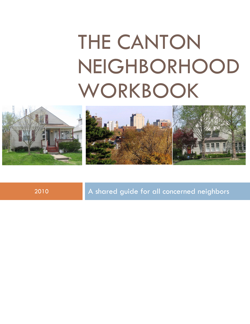# THE CANTON NEIGHBORHOOD WORKBOOK



2010 A shared guide for all concerned neighbors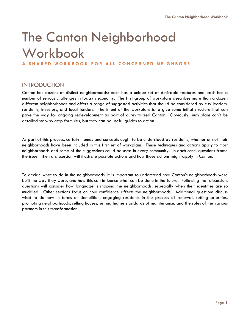# The Canton Neighborhood Workbook

#### **A S H A R E D W O R K B O O K F O R A L L C O N C E R N E D N E I G H B O R S**

# **INTRODUCTION**

Canton has dozens of distinct neighborhoods; each has a unique set of desirable features and each has a number of serious challenges in today's economy. The first group of workplans describes more than a dozen different neighborhoods and offers a range of suggested activities that should be considered by city leaders, residents, investors, and local funders. The intent of the workplans is to give some initial structure that can pave the way for ongoing redevelopment as part of a revitalized Canton. Obviously, such plans can't be detailed step-by-step formulas, but they can be useful guides to action.

As part of this process, certain themes and concepts ought to be understood by residents, whether or not their neighborhoods have been included in this first set of workplans. These techniques and actions apply to most neighborhoods and some of the suggestions could be used in every community. In each case, questions frame the issue. Then a discussion will illustrate possible actions and how those actions might apply in Canton.

To decide what to do in the neighborhoods, it is important to understand how Canton's neighborhoods were built the way they were, and how this can influence what can be done in the future. Following that discussion, questions will consider how language is shaping the neighborhoods, especially when their identities are so muddled. Other sections focus on how confidence affects the neighborhoods. Additional questions discuss what to do now in terms of demolition, engaging residents in the process of renewal, setting priorities, promoting neighborhoods, selling houses, setting higher standards of maintenance, and the roles of the various partners in this transformation.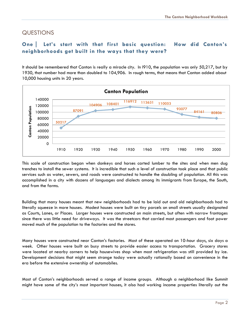# **QUESTIONS**

## **One Let's start with that first basic question: How did Canton's neighborhoods get built in the ways that they were?**

It should be remembered that Canton is really a miracle city. In l910, the population was only 50,217, but by 1930, that number had more than doubled to 104,906. In rough terms, that means that Canton added about 10,000 housing units in 20 years.



This scale of construction began when donkeys and horses carted lumber to the sites and when men dug trenches to install the sewer systems. It is incredible that such a level of construction took place and that public services such as water, sewers, and roads were constructed to handle the doubling of population. All this was accomplished in a city with dozens of languages and dialects among its immigrants from Europe, the South, and from the farms.

Building that many houses meant that new neighborhoods had to be laid out and old neighborhoods had to literally squeeze in more houses. Modest houses were built on tiny parcels on small streets usually designated as Courts, Lanes, or Places. Larger houses were constructed on main streets, but often with narrow frontages since there was little need for driveways. It was the streetcars that carried most passengers and foot power moved much of the population to the factories and the stores.

Many houses were constructed near Canton's factories. Most of these operated on 10-hour days, six days a week. Other houses were built on busy streets to provide easier access to transportation. Grocery stores were located at nearby corners to help housewives shop when most refrigeration was still provided by ice. Development decisions that might seem strange today were actually rationally based on convenience in the era before the extensive ownership of automobiles.

Most of Canton's neighborhoods served a range of income groups. Although a neighborhood like Summit might have some of the city's most important houses, it also had working income properties literally out the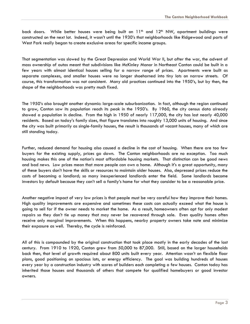back doors. While better houses were being built on 11<sup>th</sup> and 12<sup>th</sup> NW, apartment buildings were constructed on the next lot. Indeed, it wasn't until the 1930's that neighborhoods like Ridgewood and parts of West Park really began to create exclusive areas for specific income groups.

That segmentation was slowed by the Great Depression and World War II, but after the war, the advent of mass ownership of autos meant that subdivisions like McKinley Manor in Northeast Canton could be built in a few years with almost identical houses selling for a narrow range of prices. Apartments were built as separate complexes, and smaller houses were no longer shoehorned into tiny lots on narrow streets. Of course, this transformation was not consistent. Many old practices continued into the 1950's, but by then, the shape of the neighborhoods was pretty much fixed.

The 1950's also brought another dynamic: large-scale suburbanization. In fact, although the region continued to grow, Canton saw its population reach its peak in the 1950's. By 1960, the city census data already showed a population in decline. From the high in 1950 of nearly 117,000, the city has lost nearly 40,000 residents. Based on today's family sizes, that figure translates into roughly 13,000 units of housing. And since the city was built primarily as single-family houses, the result is thousands of vacant houses, many of which are still standing today.

Further, reduced demand for housing also caused a decline in the cost of housing. When there are too few buyers for the existing supply, prices go down. The Canton neighborhoods are no exception. Too much housing makes this one of the nation's most affordable housing markets. That distinction can be good news and bad news. Low prices mean that more people can own a home. Although it's a great opportunity, many of these buyers don't have the skills or resources to maintain older houses. Also, depressed prices reduce the costs of becoming a landlord; so many inexperienced landlords enter the field. Some landlords become investors by default because they can't sell a family's home for what they consider to be a reasonable price.

Another negative impact of very low prices is that people must be very careful how they improve their homes. High quality improvements are expensive and sometimes these costs can actually exceed what the house is going to sell for if the owner needs to market the home. As a result, homeowners often opt for only modest repairs so they don't tie up money that may never be recovered through sale. Even quality homes often receive only marginal improvements. When this happens, nearby property owners take note and minimize their exposure as well. Thereby, the cycle is reinforced.

All of this is compounded by the original construction that took place mostly in the early decades of the last century. From 1910 to 1920, Canton grew from 50,000 to 87,000. Still, based on the larger households back then, that level of growth required about 800 units built every year. Attention wasn't on flexible floor plans, good positioning on spacious lots, or energy efficiency. The goal was building hundreds of houses every year by a construction industry with scores of builders each completing a few houses. Canton today has inherited those houses and thousands of others that compete for qualified homebuyers or good investor owners.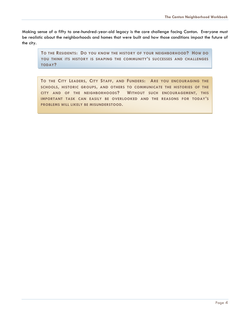Making sense of a fifty to one-hundred-year-old legacy is the core challenge facing Canton. Everyone must be realistic about the neighborhoods and homes that were built and how those conditions impact the future of the city.

**TO THE RESIDENTS: DO YOU KNOW THE HISTORY OF YOUR NEIGHBORHOOD? HOW DO YOU THINK ITS HISTORY IS SHAPING THE COMMUNITY'S SUCCESSES AND CHALLENGES TODAY?**

**TO THE CITY LEADERS, CITY STAFF, AND FUNDERS: ARE YOU ENCOURAGING THE SCHOOLS, HISTORIC GROUPS, AND OTHERS TO COMMUNICATE THE HISTORIES OF THE CITY AND OF THE NEIGHBORHOODS? WITHOUT SUCH ENCOURAGEMENT, THIS IMPORTANT TASK CAN EASILY BE OVERLOOKED AND THE REASONS FOR TODAY'S PROBLEMS WILL LIKELY BE MISUNDERSTOOD.**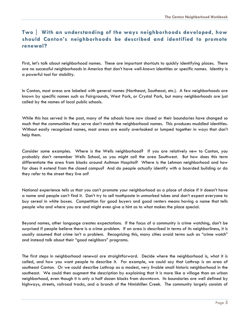# **Two With an understanding of the ways neighborhoods developed, how should Canton's neighborhoods be described and identified to promote renewal?**

First, let's talk about neighborhood names. These are important shortcuts to quickly identifying places. There are no successful neighborhoods in America that don't have well-known identities or specific names. Identity is a powerful tool for stability.

In Canton, most areas are labeled with general names (Northeast, Southeast, etc.). A few neighborhoods are known by specific names such as Fairgrounds, West Park, or Crystal Park, but many neighborhoods are just called by the names of local public schools.

While this has served in the past, many of the schools have now closed or their boundaries have changed so much that the communities they serve don't match the neighborhood names. This produces muddled identities. Without easily recognized names, most areas are easily overlooked or lumped together in ways that don't help them.

Consider some examples. Where is the Wells neighborhood? If you are relatively new to Canton, you probably don't remember Wells School, so you might call the area Southwest. But how does this term differentiate the area from blocks around Aultman Hospital? Where is the Lehman neighborhood and how far does it extend from the closed campus? And do people actually identify with a boarded building or do they refer to the street they live on?

National experience tells us that you can't promote your neighborhood as a place of choice if it doesn't have a name and people can't find it. Don't try to sell toothpaste in unmarked tubes and don't expect everyone to buy cereal in white boxes. Competition for good buyers and good renters means having a name that tells people who and where you are and might even give a hint as to what makes the place special.

Beyond names, other language creates expectations. If the focus of a community is crime watching, don't be surprised if people believe there is a crime problem. If an area is described in terms of its neighborliness, it is usually assumed that crime isn't a problem. Recognizing this, many cities avoid terms such as "crime watch" and instead talk about their "good neighbors" programs.

The first steps in neighborhood renewal are straightforward. Decide where the neighborhood is, what it is called, and how you want people to describe it. For example, we could say that Lathrop is an area of southeast Canton. Or we could describe Lathrop as a modest, very livable small historic neighborhood in the southeast. We could then augment the description by explaining that it is more like a village than an urban neighborhood, even though it is only a half dozen blocks from downtown. Its boundaries are well defined by highways, streets, railroad tracks, and a branch of the Nimishillen Creek. The community largely consists of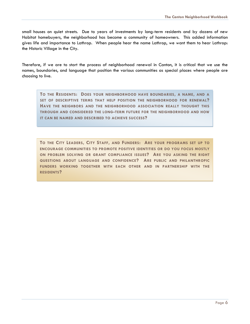small houses on quiet streets. Due to years of investments by long-term residents and by dozens of new Habitat homebuyers, the neighborhood has become a community of homeowners. This added information gives life and importance to Lathrop. When people hear the name Lathrop, we want them to hear Lathrop: the Historic Village in the City.

Therefore, if we are to start the process of neighborhood renewal in Canton, it is critical that we use the names, boundaries, and language that position the various communities as special places where people are choosing to live.

**TO THE RESIDENTS: DOES YOUR NEIGHBORHOOD HAVE BOUNDARIES, A NAME, AND A SET OF DESCRIPTIVE TERMS THAT HELP POSITION THE NEIGHBORHOOD FOR RENEWAL? HAVE THE NEIGHBORS AND THE NEIGHBORHOOD ASSOCIATION REALLY THOUGHT THIS THROUGH AND CONSIDERED THE LONG-TERM FUTURE FOR THE NEIGHBORHOOD AND HOW IT CAN BE NAMED AND DESCRIBED TO ACHIEVE SUCCESS?**

**TO THE CITY LEADERS, CITY STAFF, AND FUNDERS: ARE YOUR PROGRAMS SET UP TO ENCOURAGE COMMUNITIES TO PROMOTE POSITIVE IDENTITIES OR DO YOU FOCUS MOSTLY ON PROBLEM SOLVING OR GRANT COMPLIANCE ISSUES? ARE YOU ASKING THE RIGHT QUESTIONS ABOUT LANGUAGE AND CONFIDENCE? ARE PUBLIC AND PHILANTHROPIC FUNDERS WORKING TOGETHER WITH EACH OTHER AND IN PARTNERSHIP WITH THE RESIDENTS?**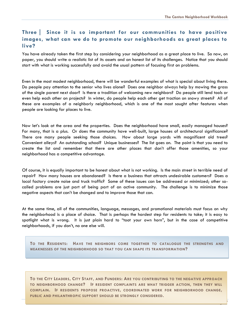Page 7

# **Three Since it is so important for our communities to have positive images, what can we do to promote our neighborhoods as great places to live?**

You have already taken the first step by considering your neighborhood as a great place to live. So now, on paper, you should write a realistic list of its assets and an honest list of its challenges. Notice that you should start with what is working successfully and avoid the usual pattern of focusing first on problems.

Even in the most modest neighborhood, there will be wonderful examples of what is special about living there. Do people pay attention to the senior who lives alone? Does one neighbor always help by mowing the grass of the single parent next door? Is there a tradition of welcoming new neighbors? Do people still lend tools or even help each other on projects? In winter, do people help each other get traction on snowy streets? All of these are examples of a neighborly neighborhood, which is one of the most sought after features when people are looking for places to live.

Now let's look at the area and the properties. Does the neighborhood have small, easily managed houses? For many, that is a plus. Or does the community have well-built, large houses of architectural significance? There are many people seeking those choices. How about large yards with magnificent old trees? Convenient alleys? An outstanding school? Unique businesses? The list goes on. The point is that you need to create the list and remember that there are other places that don't offer those amenities, so your neighborhood has a competitive advantage.

Of course, it is equally important to be honest about what is not working. Is the main street in terrible need of repair? How many houses are abandoned? Is there a business that attracts undesirable customers? Does a local factory create noise and truck traffic? Some of these issues can be addressed or minimized; other socalled problems are just part of being part of an active community. The challenge is to minimize those negative aspects that can't be changed and to improve those that can.

At the same time, all of the communities, language, messages, and promotional materials must focus on why the neighborhood is a place of choice. That is perhaps the hardest step for residents to take; it is easy to spotlight what is wrong. It is just plain hard to "toot your own horn", but in the case of competitive neighborhoods, if you don't, no one else will.

**TO THE RESIDENTS: HAVE THE NEIGHBORS COME TOGETHER TO CATALOGUE THE STRENGTHS AND WEAKNESSES OF THE NEIGHBORHOOD SO THAT YOU CAN SHAPE ITS TRANSFORMATION?**

**TO THE CITY LEADERS, CITY STAFF, AND FUNDERS: ARE YOU CONTRIBUTING TO THE NEGATIVE APPROACH TO NEIGHBORHOOD CHANGE? IF RESIDENT COMPLAINTS ARE WHAT TRIGGER ACTION, THEN THEY WILL COMPLAIN. IF RESIDENTS PROPOSE PROACTIVE, COORDINATED WORK FOR NEIGHBORHOOD CHANGE, PUBLIC AND PHILANTHROPIC SUPPORT SHOULD BE STRONGLY CONSIDERED.**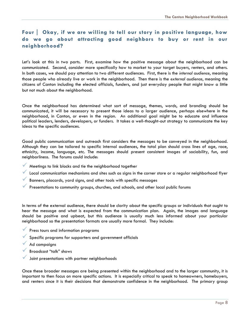# **Four Okay, if we are willing to tell our story in positive language, how do we go about attracting good neighbors to buy or rent in our neighborhood?**

Let's look at this in two parts. First, examine how the positive message about the neighborhood can be communicated. Second, consider more specifically how to market to your target buyers, renters, and others. In both cases, we should pay attention to two different audiences. First, there is the *internal audience*, meaning those people who already live or work in the neighborhood. Then there is the *external audience*, meaning the citizens of Canton including the elected officials, funders, and just everyday people that might know a little but not much about the neighborhood.

Once the neighborhood has determined what sort of message, themes, words, and branding should be communicated, it will be necessary to present those ideas to a larger audience, perhaps elsewhere in the neighborhood, in Canton, or even in the region. An additional goal might be to educate and influence political leaders, lenders, developers, or funders. It takes a well-thought-out strategy to communicate the key ideas to the specific audiences.

Good public communication and outreach first considers the messages to be conveyed in the neighborhood. Although they can be tailored to specific internal audiences, the total plan should cross lines of age, race, ethnicity, income, language, etc. The messages should present consistent images of sociability, fun, and neighborliness. The forums could include:

- Meetings to link blocks and tie the neighborhood together
- Local communication mechanisms and sites such as signs in the corner store or a regular neighborhood flyer
- Banners, placards, yard signs, and other tools with specific messages
- Presentations to community groups, churches, and schools, and other local public forums

In terms of the external audience, there should be clarity about the specific groups or individuals that ought to hear the message and what is expected from the communication plan. Again, the images and language should be positive and upbeat, but this audience is usually much less informed about your particular neighborhood so the presentation formats are usually more formal. They include:

- **Press tours and information programs**
- $\checkmark$  Specific programs for supporters and government officials
- Ad campaigns
- Broadcast "talk" shows
- Joint presentations with partner neighborhoods

Once these broader messages are being presented within the neighborhood and to the larger community, it is important to then focus on more specific actions. It is especially critical to speak to homeowners, homebuyers, and renters since it is their decisions that demonstrate confidence in the neighborhood. The primary group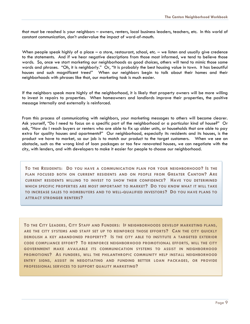that must be reached is your neighbors – owners, renters, local business leaders, teachers, etc. In this world of constant communication, don't undervalue the impact of word-of-mouth.

When people speak highly of a place – a store, restaurant, school, etc. – we listen and usually give credence to the statements. And if we hear negative descriptions from those most informed, we tend to believe those words. So, once we start marketing our neighborhoods as good choices, others will tend to mimic those same words and phrases. "Oh, it is neighborly." Or, "It is probably the best housing value in town. It has beautiful houses and such magnificent trees!" When our neighbors begin to talk about their homes and their neighborhoods with phrases like that, our marketing task is much easier.

If the neighbors speak more highly of the neighborhood, it is likely that property owners will be more willing to invest in repairs to properties. When homeowners and landlords improve their properties, the positive message internally and externally is reinforced.

From this process of communicating with neighbors, your marketing messages to others will become clearer. Ask yourself, "Do I need to focus on a specific part of the neighborhood or a particular kind of house?" Or ask, "How do I reach buyers or renters who are able to fix up older units, or households that are able to pay extra for quality houses and apartments?" Our neighborhood, especially its residents and its houses, is the product we have to market, so our job is to match our product to the target customers. When we see an obstacle, such as the wrong kind of loan packages or too few renovated houses, we can negotiate with the city, with lenders, and with developers to make it easier for people to choose our neighborhood.

**TO THE RESIDENTS: DO YOU HAVE A COMMUNICATION PLAN FOR YOUR NEIGHBORHOOD? IS THE PLAN FOCUSED BOTH ON CURRENT RESIDENTS AND ON PEOPLE FROM GREATER CANTON? ARE CURRENT RESIDENTS WILLING TO INVEST TO SHOW THEIR CONFIDENCE? HAVE YOU DETERMINED WHICH SPECIFIC PROPERTIES ARE MOST IMPORTANT TO MARKET? DO YOU KNOW WHAT IT WILL TAKE TO INCREASE SALES TO HOMEBUYERS AND TO WELL-QUALIFIED INVESTORS? DO YOU HAVE PLANS TO ATTRACT STRONGER RENTERS?**

**TO THE CITY LEADERS, CITY STAFF AND FUNDERS: IF NEIGHBORHOODS DEVELOP MARKETING PLANS, ARE THE CITY SYSTEMS AND STAFF SET UP TO REINFORCE THOSE EFFORTS? CAN THE CITY QUICKLY DEMOLISH A KEY ABANDONED PROPERTY? IS THE CITY ABLE TO INSTITUTE A TARGETED EXTERIOR CODE COMPLIANCE EFFORT? TO REINFORCE NEIGHBORHOOD PROMOTIONAL EFFORTS, WILL THE CITY GOVERNMENT MAKE AVAILABLE ITS COMMUNICATION SYSTEMS TO ASSIST IN NEIGHBORHOOD PROMOTIONS? AS FUNDERS, WILL THE PHILANTHROPIC COMMUNITY HELP INSTALL NEIGHBORHOOD ENTRY SIGNS, ASSIST IN NEGOTIATING AND FUNDING BETTER LOAN PACKAGES, OR PROVIDE PROFESSIONAL SERVICES TO SUPPORT QUALITY MARKETING?**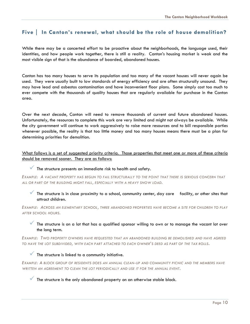#### **Five In Canton's renewal, what should be the role of house demolition?**

While there may be a concerted effort to be proactive about the neighborhoods, the language used, their identities, and how people work together, there is still a reality. Canton's housing market is weak and the most visible sign of that is the abundance of boarded, abandoned houses.

Canton has too many houses to serve its population and too many of the vacant houses will never again be used. They were usually built to low standards of energy efficiency and are often structurally unsound. They may have lead and asbestos contamination and have inconvenient floor plans. Some simply cost too much to ever compete with the thousands of quality houses that are regularly available for purchase in the Canton area.

Over the next decade, Canton will need to remove thousands of current and future abandoned houses. Unfortunately, the resources to complete this work are very limited and might not always be available. While the city government will continue to work aggressively to raise more resources and to bill responsible parties whenever possible, the reality is that too little money and too many houses means there must be a plan for determining priorities for demolition.

What follows is a set of suggested priority criteria. Those properties that meet one or more of these criteria should be removed sooner. They are as follows:

#### $\checkmark$  The structure presents an immediate risk to health and safety.

*EXAMPLE: A VACANT PROPERTY HAS BEGUN TO FAIL STRUCTURALLY TO THE POINT THAT THERE IS SERIOUS CONCERN THAT ALL OR PART OF THE BUILDING MIGHT FALL, ESPECIALLY WITH A HEAVY SNOW LOAD.*

The structure is in close proximity to a school, community center, day care facility, or other sites that attract children.

*EXAMPLE: ACROSS AN ELEMENTARY SCHOOL, THREE ABANDONED PROPERTIES HAVE BECOME A SITE FOR CHILDREN TO PLAY AFTER SCHOOL HOURS.*

 The structure is on a lot that has a qualified sponsor willing to own or to manage the vacant lot over the long term.

*EXAMPLE: TWO PROPERTY OWNERS HAVE REQUESTED THAT AN ABANDONED BUILDING BE DEMOLISHED AND HAVE AGREED TO HAVE THE LOT SUBDIVIDED, WITH EACH PART ATTACHED TO EACH OWNER'S DEED AS PART OF THE TAX ROLLS.*

#### The structure is linked to a community initiative.

*EXAMPLE: A BLOCK GROUP OF RESIDENTS DOES AN ANNUAL CLEAN-UP AND COMMUNITY PICNIC AND THE MEMBERS HAVE WRITTEN AN AGREEMENT TO CLEAN THE LOT PERIODICALLY AND USE IT FOR THE ANNUAL EVENT.*

The structure is the only abandoned property on an otherwise stable block.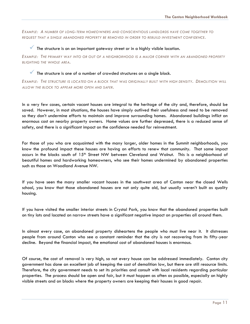*EXAMPLE: A NUMBER OF LONG-TERM HOMEOWNERS AND CONSCIENTIOUS LANDLORDS HAVE COME TOGETHER TO REQUEST THAT A SINGLE ABANDONED PROPERTY BE REMOVED IN ORDER TO REBUILD INVESTMENT CONFIDENCE.*

#### The structure is on an important gateway street or in a highly visible location.

*EXAMPLE: THE PRIMARY WAY INTO OR OUT OF A NEIGHBORHOOD IS A MAJOR CORNER WITH AN ABANDONED PROPERTY BLIGHTING THE WHOLE AREA.*

#### The structure is one of a number of crowded structures on a single block.

*EXAMPLE: THE STRUCTURE IS LOCATED ON A BLOCK THAT WAS ORIGINALLY BUILT WITH HIGH DENSITY. DEMOLITION WILL ALLOW THE BLOCK TO APPEAR MORE OPEN AND SAFER.*

In a very few cases, certain vacant houses are integral to the heritage of the city and, therefore, should be saved. However, in most situations, the houses have simply outlived their usefulness and need to be removed so they don't undermine efforts to maintain and improve surrounding homes. Abandoned buildings inflict an enormous cost on nearby property owners. Home values are further depressed, there is a reduced sense of safety, and there is a significant impact on the confidence needed for reinvestment.

For those of you who are acquainted with the many larger, older homes in the Summit neighborhoods, you know the profound impact these houses are having on efforts to renew that community. That same impact occurs in the blocks south of 15th Street NW between Cleveland and Walnut. This is a neighborhood of beautiful homes and hardworking homeowners, who see their homes undermined by abandoned properties such as those on Woodland Avenue NW.

If you have seen the many smaller vacant houses in the southwest area of Canton near the closed Wells school, you know that those abandoned houses are not only quite old, but usually weren't built as quality housing.

If you have visited the smaller interior streets in Crystal Park, you know that the abandoned properties built on tiny lots and located on narrow streets have a significant negative impact on properties all around them.

In almost every case, an abandoned property disheartens the people who must live near it. It distresses people from around Canton who see a constant reminder that the city is not recovering from its fifty-year decline. Beyond the financial impact, the emotional cost of abandoned houses is enormous.

Of course, the cost of removal is very high, so not every house can be addressed immediately. Canton city government has done an excellent job of keeping the cost of demolition low, but there are still resource limits. Therefore, the city government needs to set its priorities and consult with local residents regarding particular properties. The process should be open and fair, but it must happen as often as possible, especially on highly visible streets and on blocks where the property owners are keeping their houses in good repair.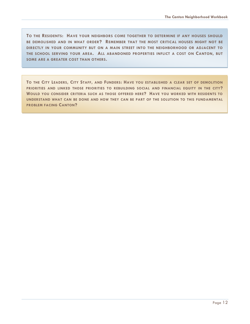**TO THE RESIDENTS: HAVE YOUR NEIGHBORS COME TOGETHER TO DETERMINE IF ANY HOUSES SHOULD BE DEMOLISHED AND IN WHAT ORDER? REMEMBER THAT THE MOST CRITICAL HOUSES MIGHT NOT BE DIRECTLY IN YOUR COMMUNITY BUT ON A MAIN STREET INTO THE NEIGHBORHOOD OR ADJACENT TO THE SCHOOL SERVING YOUR AREA. ALL ABANDONED PROPERTIES INFLICT A COST ON CANTON, BUT SOME ARE A GREATER COST THAN OTHERS.**

**TO THE CITY LEADERS, CITY STAFF, AND FUNDERS: HAVE YOU ESTABLISHED A CLEAR SET OF DEMOLITION PRIORITIES AND LINKED THOSE PRIORITIES TO REBUILDING SOCIAL AND FINANCIAL EQUITY IN THE CITY? WOULD YOU CONSIDER CRITERIA SUCH AS THOSE OFFERED HERE? HAVE YOU WORKED WITH RESIDENTS TO UNDERSTAND WHAT CAN BE DONE AND HOW THEY CAN BE PART OF THE SOLUTION TO THIS FUNDAMENTAL PROBLEM FACING CANTON?**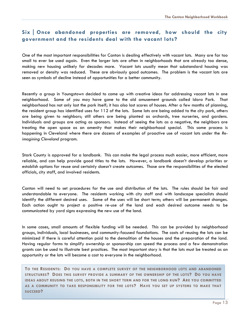# **SixOnce abandoned properties are removed, how should the city government and the residents deal with the vacant lots?**

One of the most important responsibilities for Canton is dealing effectively with vacant lots. Many are far too small to ever be used again. Even the larger lots are often in neighborhoods that are already too dense, making new housing unlikely for decades more. Vacant lots usually mean that substandard housing was removed or density was reduced. These are obviously good outcomes. The problem is the vacant lots are seen as symbols of decline instead of opportunities for a better community.

Recently a group in Youngstown decided to come up with creative ideas for addressing vacant lots in one neighborhood. Some of you may have gone to the old amusement grounds called Idora Park. That neighborhood has not only lost the park itself; it has also lost scores of houses. After a few months of planning, the resident group has identified uses for 112 of the lots. Some lots are being added to the city park, others are being given to neighbors; still others are being planted as orchards, tree nurseries, and gardens. Individuals and groups are acting as sponsors. Instead of seeing the lots as a negative, the neighbors are treating the open space as an amenity that makes their neighborhood special. This same process is happening in Cleveland where there are dozens of examples of proactive use of vacant lots under the *Reimagining Cleveland* program.

Stark County is approved for a landbank. This can make the legal process much easier, more efficient, more reliable, and can help provide good titles to the lots. However, a landbank doesn't develop priorities or establish options for reuse and certainly doesn't create outcomes. Those are the responsibilities of the elected officials, city staff, and involved residents.

Canton will need to set procedures for the use and distribution of the lots. The rules should be fair and understandable to everyone. The residents working with city staff and with landscape specialists should identify the different desired uses. Some of the uses will be short term; others will be permanent changes. Each action ought to project a positive re-use of the land and each desired outcome needs to be communicated by yard signs expressing the new use of the land.

In some cases, small amounts of flexible funding will be needed. This can be provided by neighborhood groups, individuals, local businesses, and community-focused foundations. The costs of reusing the lots can be minimized if there is careful attention paid to the demolition of the houses and the preparation of the land. Having regular forms to simplify ownership or sponsorship can speed the process and a few demonstration grants can be used to illustrate best practices. The most important story is that the lots must be treated as an opportunity or the lots will become a cost to everyone in the neighborhood.

**TO THE RESIDENTS: DO YOU HAVE A COMPLETE SURVEY OF THE NEIGHBORHOOD LOTS AND ABANDONED STRUCTURES? DOES THIS SURVEY PROVIDE A SUMMARY OF THE OWNERSHIP OF THE LOTS? DO YOU HAVE IDEAS ABOUT REUSING THE LOTS, BOTH IN THE SHORT TERM AND FOR THE LONG RUN? ARE YOU COMMITTED AS A COMMUNITY TO TAKE RESPONSIBILITY FOR THE LOTS? HAVE YOU SET UP SYSTEMS TO MAKE THAT SUCCEED?**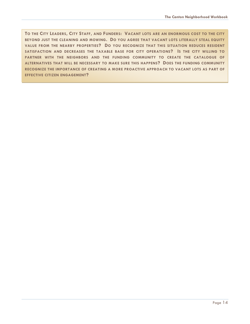**TO THE CITY LEADERS, CITY STAFF, AND FUNDERS: VACANT LOTS ARE AN ENORMOUS COST TO THE CITY BEYOND JUST THE CLEANING AND MOWING. DO YOU AGREE THAT VACANT LOTS LITERALLY STEAL EQUITY VALUE FROM THE NEARBY PROPERTIES? DO YOU RECOGNIZE THAT THIS SITUATION REDUCES RESIDENT SATISFACTION AND DECREASES THE TAXABLE BASE FOR CITY OPERATIONS? IS THE CITY WILLING TO PARTNER WITH THE NEIGHBORS AND THE FUNDING COMMUNITY TO CREATE THE CATALOGUE OF ALTERNATIVES THAT WILL BE NECESSARY TO MAKE SURE THIS HAPPENS? DOES THE FUNDING COMMUNITY RECOGNIZE THE IMPORTANCE OF CREATING A MORE PROACTIVE APPROACH TO VACANT LOTS AS PART OF EFFECTIVE CITIZEN ENGAGEMENT?**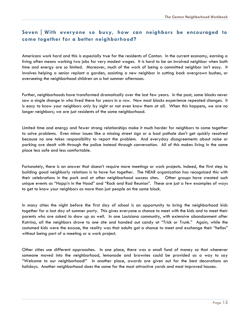# **SevenWith everyone so busy, how can neighbors be encouraged to come together for a better neighborhood?**

Americans work hard and this is especially true for the residents of Canton. In the current economy, earning a living often means working two jobs for very modest wages. It is hard to be an involved neighbor when both time and energy are so limited. Moreover, much of the work of being a committed neighbor isn't easy. It involves helping a senior replant a garden, assisting a new neighbor in cutting back overgrown bushes, or overseeing the neighborhood children on a hot summer afternoon.

Further, neighborhoods have transformed dramatically over the last few years. In the past, some blocks never saw a single change in who lived there for years in a row. Now most blocks experience repeated changes. It is easy to know your neighbors only by sight or not even know them at all. When this happens, we are no longer neighbors; we are just residents of the same neighborhood.

Limited time and energy and fewer strong relationships make it much harder for neighbors to come together to solve problems. Even minor issues like a missing street sign or a bad pothole don't get quickly resolved because no one takes responsibility to report the problem. And everyday disagreements about noise or parking are dealt with through the police instead through conversation. All of this makes living in the same place less safe and less comfortable.

Fortunately, there is an answer that doesn't require more meetings or work projects. Indeed, the first step to building good neighborly relations is to have fun together. The NEAR organization has recognized this with their celebrations in the park and at other neighborhood success sites**.** Other groups have created such unique events as "Happ'n in the Hood" and "Rock and Rod Reunion".These are just a few examples of ways to get to know your neighbors as more than just people on the same block.

In many cities the night before the first day of school is an opportunity to bring the neighborhood kids together for a last day of summer party. This gives everyone a chance to meet with the kids and to meet their parents who are asked to show up as well. In one Louisiana community, with extensive abandonment after Katrina, all the neighbors drove to one site and handed out candy at "Trick or Trunk." Again, while the costumed kids were the excuse, the reality was that adults got a chance to meet and exchange their "hellos" without being part of a meeting or a work project.

Other cities use different approaches. In one place, there was a small fund of money so that whenever someone moved into the neighborhood, lemonade and brownies could be provided as a way to say "Welcome to our neighborhood!" In another place, awards are given out for the best decorations on holidays. Another neighborhood does the same for the most attractive yards and most improved houses.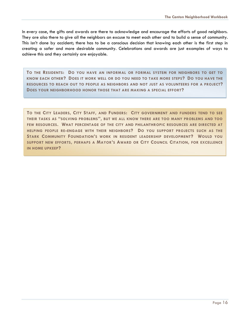In every case, the gifts and awards are there to acknowledge and encourage the efforts of good neighbors. They are also there to give all the neighbors an excuse to meet each other and to build a sense of community. This isn't done by accident; there has to be a conscious decision that knowing each other is the first step in creating a safer and more desirable community. Celebrations and awards are just examples of ways to achieve this and they certainly are enjoyable.

**TO THE RESIDENTS: DO YOU HAVE AN INFORMAL OR FORMAL SYSTEM FOR NEIGHBORS TO GET TO KNOW EACH OTHER? DOES IT WORK WELL OR DO YOU NEED TO TAKE MORE STEPS? DO YOU HAVE THE RESOURCES TO REACH OUT TO PEOPLE AS NEIGHBORS AND NOT JUST AS VOLUNTEERS FOR A PROJECT? DOES YOUR NEIGHBORHOOD HONOR THOSE THAT ARE MAKING A SPECIAL EFFORT?**

**TO THE CITY LEADERS, CITY STAFF, AND FUNDERS: CITY GOVERNMENT AND FUNDERS TEND TO SEE THEIR TASKS AS "SOLVING PROBLEMS", BUT WE ALL KNOW THERE ARE TOO MANY PROBLEMS AND TOO FEW RESOURCES. WHAT PERCENTAGE OF THE CITY AND PHILANTHROPIC RESOURCES ARE DIRECTED AT HELPING PEOPLE RE-ENGAGE WITH THEIR NEIGHBORS? DO YOU SUPPORT PROJECTS SUCH AS THE STARK COMMUNITY FOUNDATION'S WORK IN RESIDENT LEADERSHIP DEVELOPMENT? WOULD YOU SUPPORT NEW EFFORTS, PERHAPS A MAYOR'S AWARD OR CITY COUNCIL CITATION, FOR EXCELLENCE IN HOME UPKEEP?**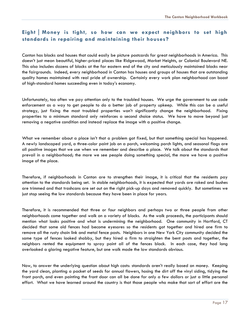# **EightMoney is tight, so how can we expect neighbors to set high standards in repairing and maintaining their houses?**

Canton has blocks and houses that could easily be picture postcards for great neighborhoods in America. This doesn't just mean beautiful, higher-priced places like Ridgewood, Market Heights, or Colonial Boulevard NE. This also includes dozens of blocks at the far eastern end of the city and meticulously maintained blocks near the fairgrounds. Indeed, every neighborhood in Canton has houses and groups of houses that are outstanding quality homes maintained with real pride of ownership. Certainly every work plan neighborhood can boast of high-standard homes succeeding even in today's economy.

Unfortunately, too often we pay attention only to the troubled houses. We urge the government to use code enforcement as a way to get people to do a better job of property upkeep. While this can be a useful strategy, just fixing the most troubled properties won't significantly change the neighborhood. Fixing properties to a minimum standard only reinforces a second choice status. We have to move beyond just removing a negative condition and instead replace the image with a positive change.

What we remember about a place isn't that a problem got fixed, but that something special has happened. A newly landscaped yard, a three-color paint job on a porch, welcoming porch lights, and seasonal flags are all positive images that we use when we remember and describe a place. We talk about the standards that prevail in a neighborhood; the more we see people doing something special, the more we have a positive image of the place.

Therefore, if neighborhoods in Canton are to strengthen their image, it is critical that the residents pay attention to the standards being set. In stable neighborhoods, it is expected that yards are raked and bushes are trimmed and that trashcans are set out on the right pick-up days and removed quickly. But sometimes we just stop seeing the low standards because they have been in place for years.

Therefore, it is recommended that three or four neighbors and perhaps two or three people from other neighborhoods come together and walk on a variety of blocks. As the walk proceeds, the participants should mention what looks positive and what is undermining the neighborhood. One community in Hartford, CT decided that some old fences had become eyesores so the residents got together and hired one firm to remove all the rusty chain link and metal fence posts. Neighbors in one New York City community decided the same type of fences looked shabby, but they hired a firm to straighten the bent posts and together, the neighbors rented the equipment to spray paint all of the fences black. In each case, they had long overlooked a glaring negative feature, but one walk made the low standards obvious.

Now, to answer the underlying question about high costs: standards aren't really based on money. Keeping the yard clean, planting a packet of seeds for annual flowers, hosing the dirt off the vinyl siding, tidying the front porch, and even painting the front door can all be done for only a few dollars or just a little personal effort. What we have learned around the country is that those people who make that sort of effort are the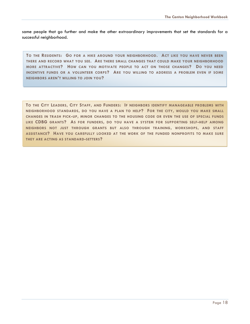same people that go further and make the other extraordinary improvements that set the standards for a successful neighborhood.

**TO THE RESIDENTS: GO FOR A HIKE AROUND YOUR NEIGHBORHOOD. ACT LIKE YOU HAVE NEVER BEEN THERE AND RECORD WHAT YOU SEE. ARE THERE SMALL CHANGES THAT COULD MAKE YOUR NEIGHBORHOOD MORE ATTRACTIVE? HOW CAN YOU MOTIVATE PEOPLE TO ACT ON THOSE CHANGES? DO YOU NEED INCENTIVE FUNDS OR A VOLUNTEER CORPS? ARE YOU WILLING TO ADDRESS A PROBLEM EVEN IF SOME NEIGHBORS AREN'T WILLING TO JOIN YOU?**

TO THE CITY LEADERS, CITY STAFF, AND FUNDERS: IF NEIGHBORS IDENTIFY MANAGEABLE PROBLEMS WITH **NEIGHBORHOOD STANDARDS, DO YOU HAVE A PLAN TO HELP? FOR THE CITY, WOULD YOU MAKE SMALL CHANGES IN TRASH PICK-UP, MINOR CHANGES TO THE HOUSING CODE OR EVEN THE USE OF SPECIAL FUNDS LIKE CDBG GRANTS? AS FOR FUNDERS, DO YOU HAVE A SYSTEM FOR SUPPORTING SELF-HELP AMONG NEIGHBORS NOT JUST THROUGH GRANTS BUT ALSO THROUGH TRAINING, WORKSHOPS, AND STAFF ASSISTANCE? HAVE YOU CAREFULLY LOOKED AT THE WORK OF THE FUNDED NONPROFITS TO MAKE SURE THEY ARE ACTING AS STANDARD-SETTERS?**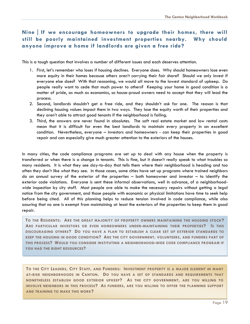# **NineIf we encourage homeowners to upgrade their homes, there will still be poorly maintained investment properties nearby. Why should anyone improve a home if landlords are given a free ride?**

This is a tough question that involves a number of different issues and each deserves attention.

- 1. First, let's remember who loses if housing declines. Everyone does. Why should homeowners lose even more equity in their homes because others aren't carrying their fair share? Should we only invest if everyone else does? With that reasoning, we would all move to the lowest standard of upkeep. Do people really want to cede that much power to others? Keeping your home in good condition is a matter of pride, as much as economics, so house-proud owners need to accept that they will lead the process.
- 2. Second, landlords shouldn't get a free ride, and they shouldn't ask for one. The reason is that declining housing values impact them in two ways. They lose the equity worth of their properties and they aren't able to attract good tenants if the neighborhood is failing.
- 3. Third, the answers are never found in absolutes. The soft real estate market and low rental costs mean that it is difficult for even the best landlords to maintain every property in an excellent condition. Nevertheless, everyone – investors and homeowners - can keep their properties in good repair and can especially give much greater attention to the exteriors of the houses.

In many cities, the code compliance programs are set up to deal with any house when the property is transferred or when there is a change in tenants. This is fine, but it doesn't really speak to what troubles so many residents. It is what they see day-to-day that tells them where their neighborhood is heading and too often they don't like what they see. In those cases, some cities have set up programs where trained neighbors do an annual survey of the exterior of the properties – both homeowner and investor – to identify the exterior code violations. Everyone is sent these informal observations, well in advance, of a neighborhoodwide inspection by city staff. Most people are able to make the necessary repairs without getting a legal notice from the city government, and those people with economic or physical limitations have time to seek help before being cited. All of this planning helps to reduce tension involved in code compliance, while also assuring that no one is exempt from maintaining at least the exteriors of the properties to keep them in good repair.

**TO THE RESIDENTS: ARE THE GREAT MAJORITY OF PROPERTY OWNERS MAINTAINING THE HOUSING STOCK? ARE PARTICULAR INVESTORS OR EVEN HOMEOWNERS UNDER-MAINTAINING THEIR PROPERTIES? IS THIS DISCOURAGING OTHERS? DO YOU HAVE A PLAN TO ESTABLISH A CLEAR SET OF EXTERIOR STANDARDS TO KEEP THE HOUSING IN GOOD CONDITION? ARE THE CITY GOVERNMENT, VOLUNTEERS, AND FUNDERS PART OF THIS PROCESS? WOULD YOU CONSIDER INSTITUTING A NEIGHBORHOOD-WIDE CODE COMPLIANCE PROGRAM IF YOU HAD THE RIGHT RESOURCES?**

TO THE CITY LEADERS, CITY STAFF, AND FUNDERS: INVESTMENT PROPERTY IS A MAJOR ELEMENT IN MANY **AT-RISK NEIGHBORHOODS IN CANTON. DO YOU HAVE A SET OF STANDARDS AND REQUIREMENTS THAT NONETHELESS ESTABLISH GOOD EXTERIOR UPKEEP? AS THE CITY GOVERNMENT, ARE YOU WILLING TO INVOLVE NEIGHBORS IN THIS PROCESS? AS FUNDERS, ARE YOU WILLING TO OFFER THE PLANNING SUPPORT AND TRAINING TO MAKE THIS WORK?**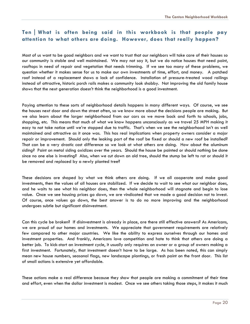# **TenWhat is often being said in this workbook is that people pay attention to what others are doing. However, does that really happen?**

Most of us want to be good neighbors and we want to trust that our neighbors will take care of their houses so our community is stable and well maintained. We may not say it, but we do notice houses that need paint, rooftops in need of repair and vegetation that needs trimming. If we see too many of these problems, we question whether it makes sense for us to make our own investments of time, effort, and money. A patched roof instead of a replacement shows a lack of confidence. Installation of pressure-treated wood railings instead of attractive, historic porch rails makes a community look shabby. Not improving the old family house shows that the next generation doesn't think the neighborhood is a good investment.

Paying attention to these sorts of neighborhood details happens in many different ways. Of course, we see the houses next door and down the street often, so we know more about the decisions people are making. But we also learn about the larger neighborhood from our cars as we move back and forth to schools, jobs, shopping, etc. This means that much of what we know happens unconsciously as we travel 25 MPH making it easy to not take notice until we're stopped due to traffic. That's when we see the neighborhood isn't as well maintained and attractive as it once was. This has real implications when property owners consider a major repair or improvement. Should only the leaking part of the roof be fixed or should a new roof be installed? That can be a very drastic cost difference so we look at what others are doing. How about the aluminum siding? Paint on metal siding oxidizes over the years. Should the house be painted or should nothing be done since no one else is investing? Also, when we cut down an old tree, should the stump be left to rot or should it be removed and replaced by a newly planted tree?

These decisions are shaped by what we think others are doing. If we all cooperate and make good investments, then the values of all houses are stabilized. If we decide to wait to see what our neighbor does, and he waits to see what his neighbor does, then the whole neighborhood will stagnate and begin to lose value. Once we see housing prices go down, we are vindicated that we made a good decision not to invest. Of course, once values go down, the best answer is to do no more improving and the neighborhood undergoes subtle but significant disinvestment.

Can this cycle be broken? If disinvestment is already in place, are there still effective answers? As Americans, we are proud of our homes and investments. We appreciate that government requirements are relatively few compared to other major countries. We like the ability to express ourselves through our homes and investment properties. And frankly, Americans love competition and hate to think that others are doing a better job. To kick-start an investment cycle, it usually only requires an owner or a group of owners making a first investment. Fortunately, that investment doesn't have to be large. As has been noted, this can simply mean new house numbers, seasonal flags, new landscape plantings, or fresh paint on the front door. This list of small actions is extensive yet affordable.

These actions make a real difference because they show that people are making a commitment of their time and effort, even when the dollar investment is modest. Once we see others taking those steps, it makes it much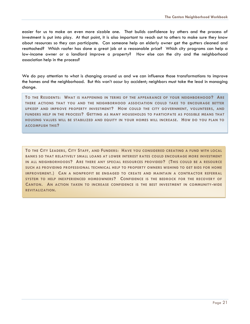easier for us to make an even more sizable one. That builds confidence by others and the process of investment is put into play. At that point, it is also important to reach out to others to make sure they know about resources so they can participate. Can someone help an elderly owner get the gutters cleaned and reattached? Which roofer has done a great job at a reasonable price? Which city programs can help a low-income owner or a landlord improve a property? How else can the city and the neighborhood association help in the process?

We do pay attention to what is changing around us and we can influence those transformations to improve the homes and the neighborhood. But this won't occur by accident; neighbors must take the lead in managing change.

**TO THE RESIDENTS: WHAT IS HAPPENING IN TERMS OF THE APPEARANCE OF YOUR NEIGHBORHOOD? ARE THERE ACTIONS THAT YOU AND THE NEIGHBORHOOD ASSOCIATION COULD TAKE TO ENCOURAGE BETTER UPKEEP AND IMPROVE PROPERTY INVESTMENT? HOW COULD THE CITY GOVERNMENT, VOLUNTEERS, AND FUNDERS HELP IN THE PROCESS? GETTING AS MANY HOUSEHOLDS TO PARTICIPATE AS POSSIBLE MEANS THAT HOUSING VALUES WILL BE STABILIZED AND EQUITY IN YOUR HOMES WILL INCREASE. HOW DO YOU PLAN TO ACCOMPLISH THIS?**

TO THE CITY LEADERS, CITY STAFF, AND FUNDERS: HAVE YOU CONSIDERED CREATING A FUND WITH LOCAL **BANKS SO THAT RELATIVELY SMALL LOANS AT LOWER INTEREST RATES COULD ENCOURAGE MORE INVESTMENT IN ALL NEIGHBORHOODS? ARE THERE ANY SPECIAL RESOURCES PROVIDED? (THIS COULD BE A RESOURCE SUCH AS PROVIDING PROFESSIONAL TECHNICAL HELP TO PROPERTY OWNERS WISHING TO GET BIDS FOR HOME IMPROVEMENT.) CAN A NONPROFIT BE ENGAGED TO CREATE AND MAINTAIN A CONTRACTOR REFERRAL SYSTEM TO HELP INEXPERIENCED HOMEOWNERS? CONFIDENCE IS THE BEDROCK FOR THE RECOVERY OF CANTON. AN ACTION TAKEN TO INCREASE CONFIDENCE IS THE BEST INVESTMENT IN COMMUNITY-WIDE REVITALIZATION.**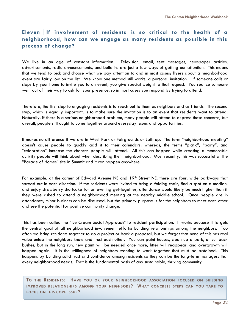# **Eleven** | If involvement of residents is so critical to the health of a **neighborhood, how can we engage as many residents as possible in this process of change?**

We live in an age of constant information. Television, email, text messages, newspaper articles, advertisements, radio announcements, and bulletins are just a few ways of getting our attention. This means that we tend to pick and choose what we pay attention to and in most cases; flyers about a neighborhood event are fairly low on the list. We know one method still works, a personal invitation. If someone calls or stops by your home to invite you to an event, you give special weight to that request. You realize someone went out of their way to ask for your presence, so in most cases you respond by trying to attend.

Therefore, the first step to engaging residents is to reach out to them as neighbors and as friends. The second step, which is equally important, is to make sure the invitation is to an event that residents want to attend. Naturally, if there is a serious neighborhood problem, many people will attend to express those concerns, but overall, people still ought to come together around everyday issues and opportunities.

It makes no difference if we are in West Park or Fairgrounds or Lathrop. The term "neighborhood meeting" doesn't cause people to quickly add it to their calendars; whereas, the terms "picnic", "party", and "celebration" increase the chances people will attend. All this can happen while creating a memorable activity people will think about when describing their neighborhood. Most recently, this was successful at the "Parade of Homes" site in Summit and it can happen anywhere.

For example, at the corner of Edward Avenue NE and 19<sup>th</sup> Street NE, there are four, wide parkways that spread out in each direction. If the residents were invited to bring a folding chair, find a spot on a median, and enjoy strawberry shortcake for an evening get-together, attendance would likely be much higher than if they were asked to attend a neighborhood meeting at the nearby middle school. Once people are in attendance, minor business can be discussed, but the primary purpose is for the neighbors to meet each other and see the potential for positive community change.

This has been called the "Ice Cream Social Approach" to resident participation. It works because it targets the central goal of all neighborhood involvement efforts: building relationships among the neighbors. Too often we bring residents together to do a project or back a proposal, but we forget that none of this has real value unless the neighbors know and trust each other. You can paint houses, clean up a park, or cut back bushes, but in the long run, new paint will be needed once more, litter will reappear, and overgrowth will happen again. It is the willingness of neighbors wanting to work together that must be sustained. This happens by building solid trust and confidence among residents so they can be the long-term managers that every neighborhood needs. That is the fundamental basis of any sustainable, thriving community.

**TO THE RESIDENTS: HAVE YOU OR YOUR NEIGHBORHOOD ASSOCIATION FOCUSED ON BUILDING IMPROVED RELATIONSHIPS AMONG YOUR NEIGHBORS? WHAT CONCRETE STEPS CAN YOU TAKE TO FOCUS ON THIS CORE ISSUE?**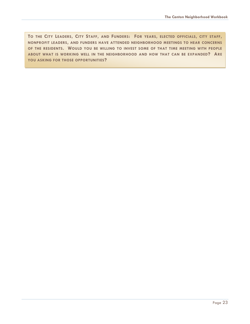TO THE CITY LEADERS, CITY STAFF, AND FUNDERS: FOR YEARS, ELECTED OFFICIALS, CITY STAFF, **NONPROFIT LEADERS, AND FUNDERS HAVE ATTENDED NEIGHBORHOOD MEETINGS TO HEAR CONCERNS OF THE RESIDENTS. WOULD YOU BE WILLING TO INVEST SOME OF THAT TIME MEETING WITH PEOPLE ABOUT WHAT IS WORKING WELL IN THE NEIGHBORHOOD AND HOW THAT CAN BE EXPANDED? ARE YOU ASKING FOR THOSE OPPORTUNITIES?**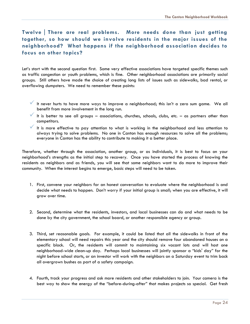# **TwelveThere are real problems. More needs done than just getting together, so how should we involve residents in the major issues of the neighborhood? What happens if the neighborhood association decides to focus on other topics?**

Let's start with the second question first. Some very effective associations have targeted specific themes such as traffic congestion or youth problems, which is fine. Other neighborhood associations are primarily social groups. Still others have made the choice of creating long lists of issues such as sidewalks, bad rental, or overflowing dumpsters. We need to remember these points:

- It never hurts to have more ways to improve a neighborhood; this isn't a zero sum game. We all benefit from more involvement in the long run.
- It is better to see all groups associations, churches, schools, clubs, etc. as partners other than competitors.
- It is more effective to pay attention to what is working in the neighborhood and less attention to always trying to solve problems. No one in Canton has enough resources to solve all the problems; everyone in Canton has the ability to contribute to making it a better place.

Therefore, whether through the association, another group, or as individuals, it is best to focus on your neighborhood's strengths as the initial step to recovery. Once you have started the process of knowing the residents as neighbors and as friends, you will see that some neighbors want to do more to improve their community. When the interest begins to emerge, basic steps will need to be taken.

- 1. First, convene your neighbors for an honest conversation to evaluate where the neighborhood is and decide what needs to happen. Don't worry if your initial group is small; when you are effective, it will grow over time.
- 2. Second, determine what the residents, investors, and local businesses can do and what needs to be done by the city government, the school board, or another responsible agency or group.
- 3. Third, set reasonable goals. For example, it could be listed that all the sidewalks in front of the elementary school will need repairs this year and the city should remove four abandoned houses on a specific block. Or, the residents will commit to maintaining six vacant lots and will host one neighborhood-wide clean-up day. Perhaps local businesses will jointly sponsor a "kids' day" for the night before school starts, or an investor will work with the neighbors on a Saturday event to trim back all overgrown bushes as part of a safety campaign.
- 4. Fourth, track your progress and ask more residents and other stakeholders to join. Your camera is the best way to show the energy of the "before-during-after" that makes projects so special. Get fresh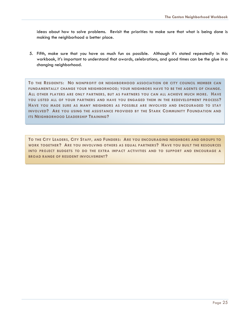ideas about how to solve problems. Revisit the priorities to make sure that what is being done is making the neighborhood a better place.

5. Fifth, make sure that you have as much fun as possible. Although it's stated repeatedly in this workbook, it's important to understand that awards, celebrations, and good times can be the glue in a changing neighborhood.

**TO THE RESIDENTS: NO NONPROFIT OR NEIGHBORHOOD ASSOCIATION OR CITY COUNCIL MEMBER CAN FUNDAMENTALLY CHANGE YOUR NEIGHBORHOOD; YOUR NEIGHBORS HAVE TO BE THE AGENTS OF CHANGE. ALL OTHER PLAYERS ARE ONLY PARTNERS, BUT AS PARTNERS YOU CAN ALL ACHIEVE MUCH MORE. HAVE YOU LISTED ALL OF YOUR PARTNERS AND HAVE YOU ENGAGED THEM IN THE REDEVELOPMENT PROCESS? HAVE YOU MADE SURE AS MANY NEIGHBORS AS POSSIBLE ARE INVOLVED AND ENCOURAGED TO STAY INVOLVED? ARE YOU USING THE ASSISTANCE PROVIDED BY THE STARK COMMUNITY FOUNDATION AND ITS NEIGHBORHOOD LEADERSHIP TRAINING?**

**TO THE CITY LEADERS, CITY STAFF, AND FUNDERS: ARE YOU ENCOURAGING NEIGHBORS AND GROUPS TO WORK TOGETHER? ARE YOU INVOLVING OTHERS AS EQUAL PARTNERS? HAVE YOU BUILT THE RESOURCES INTO PROJECT BUDGETS TO DO THE EXTRA IMPACT ACTIVITIES AND TO SUPPORT AND ENCOURAGE A BROAD RANGE OF RESIDENT INVOLVEMENT?**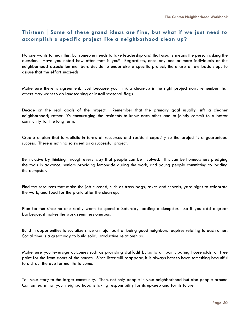# Thirteen | Some of these grand ideas are fine, but what if we just need to **accomplish a specific project like a neighborhood clean up?**

No one wants to hear this, but someone needs to take leadership and that usually means the person asking the question. Have you noted how often that is you? Regardless, once any one or more individuals or the neighborhood association members decide to undertake a specific project, there are a few basic steps to assure that the effort succeeds.

Make sure there is agreement. Just because you think a clean-up is the right project now, remember that others may want to do landscaping or install seasonal flags.

Decide on the real goals of the project. Remember that the primary goal usually isn't a cleaner neighborhood; rather, it's encouraging the residents to know each other and to jointly commit to a better community for the long term.

Create a plan that is realistic in terms of resources and resident capacity so the project is a guaranteed success. There is nothing so sweet as a successful project.

Be inclusive by thinking through every way that people can be involved. This can be homeowners pledging the tools in advance, seniors providing lemonade during the work, and young people committing to loading the dumpster.

Find the resources that make the job succeed, such as trash bags, rakes and shovels, yard signs to celebrate the work, and food for the picnic after the clean up.

Plan for fun since no one really wants to spend a Saturday loading a dumpster. So if you add a great barbeque, it makes the work seem less onerous.

Build in opportunities to socialize since a major part of being good neighbors requires relating to each other. Social time is a great way to build solid, productive relationships.

Make sure you leverage outcomes such as providing daffodil bulbs to all participating households, or free paint for the front doors of the houses. Since litter will reappear, it is always best to have something beautiful to distract the eye for months to come.

Tell your story to the larger community. Then, not only people in your neighborhood but also people around Canton learn that your neighborhood is taking responsibility for its upkeep and for its future.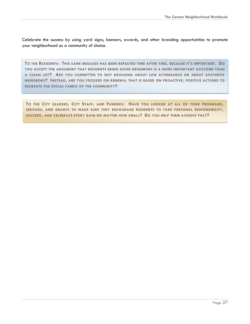Celebrate the success by using yard signs, banners, awards, and other branding opportunities to promote your neighborhood as a community of choice.

**TO THE RESIDENTS: THIS SAME MESSAGE HAS BEEN REPEATED TIME AFTER TIME, BECAUSE IT'S IMPORTANT. DO YOU ACCEPT THE ARGUMENT THAT RESIDENTS BEING GOOD NEIGHBORS IS A MORE IMPORTANT OUTCOME THAN A CLEAN LOT? ARE YOU COMMITTED TO NOT GROUSING ABOUT LOW ATTENDANCE OR ABOUT APATHETIC NEIGHBORS? INSTEAD, ARE YOU FOCUSED ON RENEWAL THAT IS BASED ON PROACTIVE, POSITIVE ACTIONS TO RECREATE THE SOCIAL FABRIC OF THE COMMUNITY?**

TO THE CITY LEADERS, CITY STAFF, AND FUNDERS: HAVE YOU LOOKED AT ALL OF YOUR PROGRAMS, **SERVICES, AND GRANTS TO MAKE SURE THEY ENCOURAGE RESIDENTS TO TAKE PERSONAL RESPONSIBILITY, SUCCEED, AND CELEBRATE EVERY GAIN NO MATTER HOW SMALL? DO YOU HELP THEM ACHIEVE THAT?**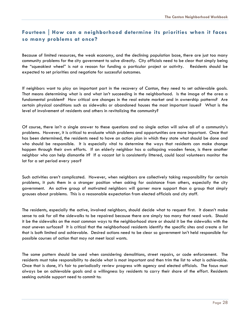# **FourteenHow can a neighborhood determine its priorities when it faces so many problems at once?**

Because of limited resources, the weak economy, and the declining population base, there are just too many community problems for the city government to solve directly. City officials need to be clear that simply being the "squeakiest wheel" is not a reason for funding a particular project or activity. Residents should be expected to set priorities and negotiate for successful outcomes.

If neighbors want to play an important part in the recovery of Canton, they need to set achievable goals. That means determining what is and what isn't succeeding in the neighborhood. Is the image of the area a fundamental problem? How critical are changes in the real estate market and in ownership patterns? Are certain physical conditions such as sidewalks or abandoned houses the most important issues? What is the level of involvement of residents and others in revitalizing the community?

Of course, there isn't a single answer to these questions and no single action will solve all of a community's problems. However, it is critical to evaluate which problems and opportunities are more important. Once that has been determined, the residents need to have an action plan in which they state what should be done and who should be responsible. It is especially vital to determine the ways that residents can make change happen through their own efforts. If an elderly neighbor has a collapsing wooden fence, is there another neighbor who can help dismantle it? If a vacant lot is consistently littered, could local volunteers monitor the lot for a set period every year?

Such activities aren't complicated. However, when neighbors are collectively taking responsibility for certain problems, it puts them in a stronger position when asking for assistance from others, especially the city government. An active group of motivated neighbors will garner more support than a group that simply grouses about problems. This is a reasonable expectation from elected officials and city staff.

The residents, especially the active, involved neighbors, should decide what to request first. It doesn't make sense to ask for all the sidewalks to be repaired because there are simply too many that need work. Should it be the sidewalks on the most common ways to the neighborhood store or should it be the sidewalks with the most uneven surfaces? It is critical that the neighborhood residents identify the specific sites and create a list that is both limited and achievable. Desired actions need to be clear so government isn't held responsible for possible courses of action that may not meet local wants.

The same pattern should be used when considering demolitions, street repairs, or code enforcement. The residents must take responsibility to decide what is most important and then trim the list to what is achievable. Once that is done, it's fair to periodically review progress with agency and elected officials. The focus must always be on achievable goals and a willingness by residents to carry their share of the effort. Residents seeking outside support need to commit to: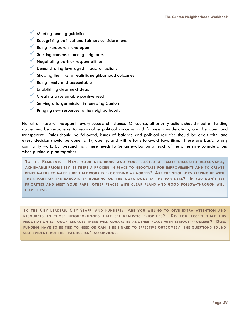- $M$  Meeting funding guidelines
- Recognizing political and fairness considerations
- Being transparent and open
- Seeking consensus among neighbors
- **V** Negotiating partner responsibilities
- Demonstrating leveraged impact of actions
- Showing the links to realistic neighborhood outcomes
- Being timely and accountable
- Establishing clear next steps
- Creating a sustainable positive result
- Serving a larger mission in renewing Canton
- Bringing new resources to the neighborhoods

Not all of these will happen in every successful instance. Of course, all priority actions should meet all funding guidelines, be responsive to reasonable political concerns and fairness considerations, and be open and transparent. Rules should be followed, issues of balance and political realities should be dealt with, and every decision should be done fairly, openly, and with efforts to avoid favoritism. These are basic to any community work, but beyond that, there needs to be an evaluation of each of the other nine considerations when putting a plan together.

**TO THE RESIDENTS: HAVE YOUR NEIGHBORS AND YOUR ELECTED OFFICIALS DISCUSSED REASONABLE, ACHIEVABLE PRIORITIES? IS THERE A PROCESS IN PLACE TO NEGOTIATE FOR IMPROVEMENTS AND TO CREATE BENCHMARKS TO MAKE SURE THAT WORK IS PROCEEDING AS AGREED? ARE THE NEIGHBORS KEEPING UP WITH THEIR PART OF THE BARGAIN BY BUILDING ON THE WORK DONE BY THE PARTNERS? IF YOU DON'T SET PRIORITIES AND MEET YOUR PART, OTHER PLACES WITH CLEAR PLANS AND GOOD FOLLOW-THROUGH WILL COME FIRST.**

**TO THE CITY LEADERS, CITY STAFF, AND FUNDERS: ARE YOU WILLING TO GIVE EXTRA ATTENTION AND RESOURCES TO THOSE NEIGHBORHOODS THAT SET REALISTIC PRIORITIES? DO YOU ACCEPT THAT THIS NEGOTIATION IS TOUGH BECAUSE THERE WILL ALWAYS BE ANOTHER PLACE WITH SERIOUS PROBLEMS? DOES FUNDING HAVE TO BE TIED TO NEED OR CAN IT BE LINKED TO EFFECTIVE OUTCOMES? THE QUESTIONS SOUND SELF-EVIDENT, BUT THE PRACTICE ISN'T SO OBVIOUS.**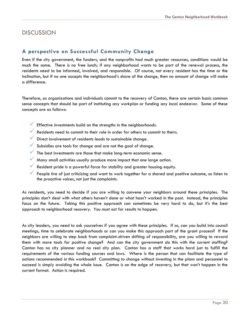# **DISCUSSION**

#### **A perspective on Successful Community Change**

Even if the city government, the funders, and the nonprofits had much greater resources, conditions would be much the same. There is no free lunch; if any neighborhood wants to be part of the renewal process, the residents need to be informed, involved, and responsible. Of course, not every resident has the time or the inclination, but if no one accepts the neighborhood's share of the change, then no amount of change will make a difference.

Therefore, as organizations and individuals commit to the recovery of Canton, there are certain basic common sense concepts that should be part of instituting any workplan or funding any local endeavor. Some of these concepts are as follows:

- $\checkmark$  Effective investments build on the strengths in the neighborhoods.
- $\checkmark$  Residents need to commit to their role in order for others to commit to theirs.
- $\checkmark$  Direct involvement of residents leads to sustainable change.
- $\checkmark$  Subsidies are tools for change and are not the goal of change.
- The best investments are those that make long-term economic sense.
- $\checkmark$  Many small activities usually produce more impact that one large action.
- Resident pride is a powerful force for stability and greater housing equity.
- People tire of just criticizing and want to work together for a shared and positive outcome, so listen to the proactive voices, not just the complaints.

As residents, you need to decide if you are willing to convene your neighbors around these principles. The principles don't deal with what others haven't done or what hasn't worked in the past. Instead, the principles focus on the future. Taking this positive approach can sometimes be very hard to do, but it's the best approach to neighborhood recovery. You must act for results to happen.

As city leaders, you need to ask yourselves if you agree with these principles. If so, can you build into council meetings, time to celebrate neighborhoods or can you make this approach part of the grant process? If the neighbors are willing to step back from complaint-driven shifting of responsibility, are you willing to reward them with more tools for positive change? And can the city government do this with the current staffing? Canton has no city planner and no real city plan. Canton has a staff that works hard just to fulfill the requirements of the various funding sources and laws. Where is the person that can facilitate the type of actions recommended in this workbook? Committing to change without investing in the plans and personnel to succeed is simply avoiding the whole issue. Canton is on the edge of recovery, but that won't happen in the current format. Action is required.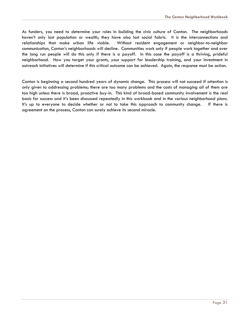As funders, you need to determine your roles in building the civic culture of Canton. The neighborhoods haven't only lost population or wealth; they have also lost social fabric. It is the interconnections and relationships that make urban life viable. Without resident engagement or neighbor-to-neighbor communication, Canton's neighborhoods will decline. Communities work only if people work together and over the long run people will do this only if there is a payoff. In this case the payoff is a thriving, prideful neighborhood. How you target your grants, your support for leadership training, and your investment in outreach initiatives will determine if this critical outcome can be achieved. Again, the response must be action.

Canton is beginning a second hundred years of dynamic change. This process will not succeed if attention is only given to addressing problems; there are too many problems and the costs of managing all of them are too high unless there is broad, proactive buy-in. This kind of broad-based community involvement is the real basis for success and it's been discussed repeatedly in this workbook and in the various neighborhood plans. It's up to everyone to decide whether or not to take this approach to community change. If there is agreement on the process, Canton can surely achieve its second miracle.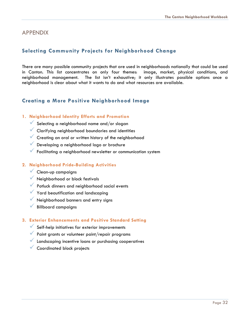#### APPENDIX

# **Selecting Community Projects for Neighborhood Change**

There are many possible community projects that are used in neighborhoods nationally that could be used in Canton. This list concentrates on only four themes: image, market, physical conditions, and neighborhood management. The list isn't exhaustive; it only illustrates possible options once a neighborhood is clear about what it wants to do and what resources are available.

### **Creating a More Positive Neighborhood Image**

#### **1. Neighborhood Identity Efforts and Promotion**

- Selecting a neighborhood name and/or slogan
- Clarifying neighborhood boundaries and identities
- $\checkmark$  Creating an oral or written history of the neighborhood
- Developing a neighborhood logo or brochure
- Facilitating a neighborhood newsletter or communication system

#### **2. Neighborhood Pride-Building Activities**

- $\checkmark$  Clean-up campaigns
- $\sqrt{\phantom{a}}$  Neighborhood or block festivals
- **V** Potluck dinners and neighborhood social events
- Yard beautification and landscaping
- K Neighborhood banners and entry signs
- Billboard campaigns

#### **3. Exterior Enhancements and Positive Standard Setting**

- $\checkmark$  Self-help initiatives for exterior improvements
- Paint grants or volunteer paint/repair programs
- Landscaping incentive loans or purchasing cooperatives
- Coordinated block projects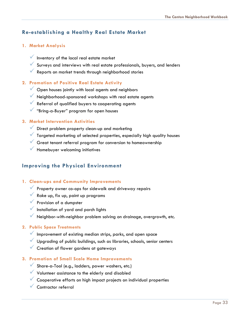# **Re-establishing a Healthy Real Estate Market**

#### **1. Market Analysis**

- $\checkmark$  Inventory of the local real estate market
- $\checkmark$  Surveys and interviews with real estate professionals, buyers, and lenders
- Reports on market trends through neighborhood stories

#### **2. Promotion of Positive Real Estate Activity**

- $\checkmark$  Open houses jointly with local agents and neighbors
- $\checkmark$  Neighborhood-sponsored workshops with real estate agents
- $\sqrt{\ }$  Referral of qualified buyers to cooperating agents
- "Bring-a-Buyer" program for open houses

#### **3. Market Intervention Activities**

- Direct problem property clean-up and marketing
- Targeted marketing of selected properties, especially high quality houses
- $\checkmark$  Great tenant referral program for conversion to homeownership
- $\blacklozenge$  Homebuyer welcoming initiatives

#### **Improving the Physical Environment**

#### **1. Clean-ups and Community Improvements**

- **Property owner co-ops for sidewalk and driveway repairs**
- $\sqrt{\ }$  Rake up, fix up, paint up programs
- **V** Provision of a dumpster
- $\checkmark$  Installation of yard and porch lights
- $\checkmark$  Neighbor-with-neighbor problem solving on drainage, overgrowth, etc.

#### **2. Public Space Treatments**

- $\checkmark$  Improvement of existing median strips, parks, and open space
- $\checkmark$  Upgrading of public buildings, such as libraries, schools, senior centers
- $\checkmark$  Creation of flower gardens at gateways

#### **3. Promotion of Small Scale Home Improvements**

- Share-a-Tool (e.g., ladders, power washers, etc.)
- Volunteer assistance to the elderly and disabled
- $\checkmark$  Cooperative efforts on high impact projects on individual properties
- Contractor referral